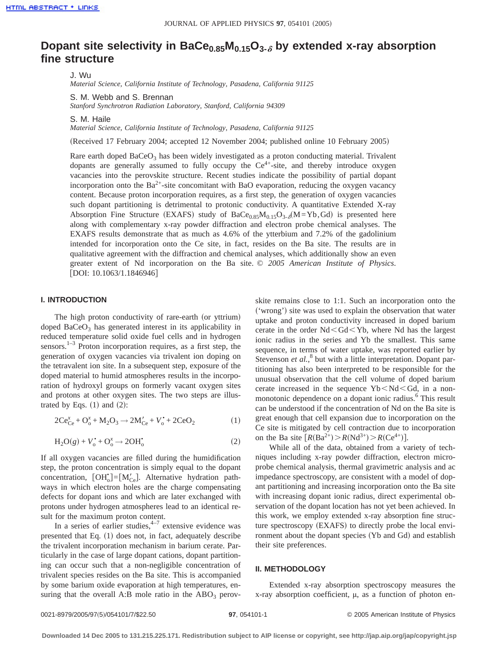# **Dopant site selectivity in BaCe**<sub>0.85</sub> $M_{0.15}O_{3.6}$  by extended x-ray absorption **fine structure**

J. Wu

*Material Science, California Institute of Technology, Pasadena, California 91125*

S. M. Webb and S. Brennan

*Stanford Synchrotron Radiation Laboratory, Stanford, California 94309*

S. M. Haile

*Material Science, California Institute of Technology, Pasadena, California 91125*

(Received 17 February 2004; accepted 12 November 2004; published online 10 February 2005)

Rare earth doped  $BaCeO<sub>3</sub>$  has been widely investigated as a proton conducting material. Trivalent dopants are generally assumed to fully occupy the  $Ce<sup>4+</sup>$ -site, and thereby introduce oxygen vacancies into the perovskite structure. Recent studies indicate the possibility of partial dopant incorporation onto the  $Ba^{2+}$ -site concomitant with BaO evaporation, reducing the oxygen vacancy content. Because proton incorporation requires, as a first step, the generation of oxygen vacancies such dopant partitioning is detrimental to protonic conductivity. A quantitative Extended X-ray Absorption Fine Structure (EXAFS) study of  $BaCe<sub>0.85</sub>M<sub>0.15</sub>O<sub>3.6</sub>(M=Yb,Gd)$  is presented here along with complementary x-ray powder diffraction and electron probe chemical analyses. The EXAFS results demonstrate that as much as 4.6% of the ytterbium and 7.2% of the gadolinium intended for incorporation onto the Ce site, in fact, resides on the Ba site. The results are in qualitative agreement with the diffraction and chemical analyses, which additionally show an even greater extent of Nd incorporation on the Ba site. © *2005 American Institute of Physics*.  $[DOI: 10.1063/1.1846946]$ 

# **I. INTRODUCTION**

The high proton conductivity of rare-earth (or yttrium) doped  $BaCeO<sub>3</sub>$  has generated interest in its applicability in reduced temperature solid oxide fuel cells and in hydrogen sensors.<sup>1-3</sup> Proton incorporation requires, as a first step, the generation of oxygen vacancies via trivalent ion doping on the tetravalent ion site. In a subsequent step, exposure of the doped material to humid atmospheres results in the incorporation of hydroxyl groups on formerly vacant oxygen sites and protons at other oxygen sites. The two steps are illustrated by Eqs.  $(1)$  and  $(2)$ :

$$
2Ce_{Ce}^{x} + O_{o}^{x} + M_{2}O_{3} \rightarrow 2M'_{Ce} + V_{o}^{*} + 2CeO_{2}
$$
 (1)

$$
H_2O(g) + V_o^{\bullet} + O_o^x \rightarrow 2OH_o^{\bullet}
$$
 (2)

If all oxygen vacancies are filled during the humidification step, the proton concentration is simply equal to the dopant concentration,  $[OH<sub>o</sub><sup>*</sup>]=[M<sub>Ce</sub><sup>'</sup>].$  Alternative hydration pathways in which electron holes are the charge compensating defects for dopant ions and which are later exchanged with protons under hydrogen atmospheres lead to an identical result for the maximum proton content.

In a series of earlier studies,  $4-7$  extensive evidence was presented that Eq.  $(1)$  does not, in fact, adequately describe the trivalent incorporation mechanism in barium cerate. Particularly in the case of large dopant cations, dopant partitioning can occur such that a non-negligible concentration of trivalent species resides on the Ba site. This is accompanied by some barium oxide evaporation at high temperatures, ensuring that the overall A:B mole ratio in the  $ABO<sub>3</sub>$  perovskite remains close to 1:1. Such an incorporation onto the ('wrong') site was used to explain the observation that water uptake and proton conductivity increased in doped barium cerate in the order  $Nd < Gd < Yb$ , where Nd has the largest ionic radius in the series and Yb the smallest. This same sequence, in terms of water uptake, was reported earlier by Stevenson *et al.*,<sup>8</sup> but with a little interpretation. Dopant partitioning has also been interpreted to be responsible for the unusual observation that the cell volume of doped barium cerate increased in the sequence  $Yb < Nd < Gd$ , in a nonmonotonic dependence on a dopant ionic radius.<sup>6</sup> This result can be understood if the concentration of Nd on the Ba site is great enough that cell expansion due to incorporation on the Ce site is mitigated by cell contraction due to incorporation on the Ba site  $[R(Ba^{2+}) > R(Nd^{3+}) > R(Ce^{4+})]$ .

While all of the data, obtained from a variety of techniques including x-ray powder diffraction, electron microprobe chemical analysis, thermal gravimetric analysis and ac impedance spectroscopy, are consistent with a model of dopant partitioning and increasing incorporation onto the Ba site with increasing dopant ionic radius, direct experimental observation of the dopant location has not yet been achieved. In this work, we employ extended x-ray absorption fine structure spectroscopy (EXAFS) to directly probe the local environment about the dopant species (Yb and Gd) and establish their site preferences.

## **II. METHODOLOGY**

Extended x-ray absorption spectroscopy measures the  $x$ -ray absorption coefficient,  $\mu$ , as a function of photon en-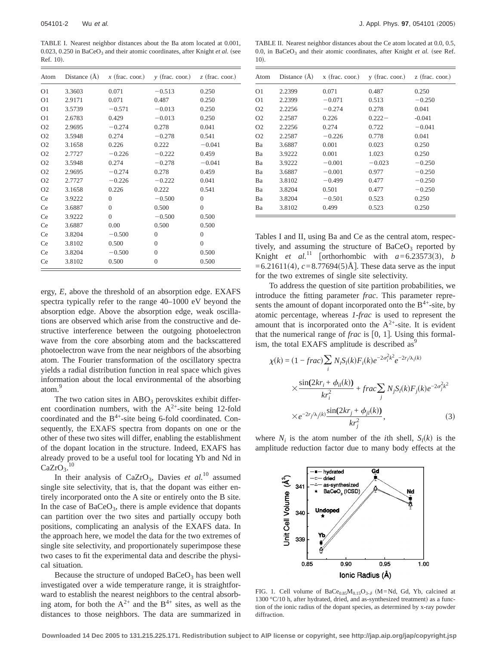TABLE I. Nearest neighbor distances about the Ba atom located at 0.001, 0.023, 0.250 in  $BaCeO<sub>3</sub>$  and their atomic coordinates, after Knight *et al.* (see Ref.  $10$ ).

| Atom           | Distance (A) | $x$ (frac. coor.) | $\gamma$ (frac. coor.) | $z$ (frac. coor.) |
|----------------|--------------|-------------------|------------------------|-------------------|
| O <sub>1</sub> | 3.3603       | 0.071             | $-0.513$               | 0.250             |
| O <sub>1</sub> | 2.9171       | 0.071             | 0.487                  | 0.250             |
| O <sub>1</sub> | 3.5739       | $-0.571$          | $-0.013$               | 0.250             |
| O <sub>1</sub> | 2.6783       | 0.429             | $-0.013$               | 0.250             |
| O <sub>2</sub> | 2.9695       | $-0.274$          | 0.278                  | 0.041             |
| O <sub>2</sub> | 3.5948       | 0.274             | $-0.278$               | 0.541             |
| O <sub>2</sub> | 3.1658       | 0.226             | 0.222                  | $-0.041$          |
| O <sub>2</sub> | 2.7727       | $-0.226$          | $-0.222$               | 0.459             |
| O <sub>2</sub> | 3.5948       | 0.274             | $-0.278$               | $-0.041$          |
| O <sub>2</sub> | 2.9695       | $-0.274$          | 0.278                  | 0.459             |
| O <sub>2</sub> | 2.7727       | $-0.226$          | $-0.222$               | 0.041             |
| O <sub>2</sub> | 3.1658       | 0.226             | 0.222                  | 0.541             |
| Ce             | 3.9222       | $\Omega$          | $-0.500$               | $\Omega$          |
| Ce             | 3.6887       | $\theta$          | 0.500                  | $\theta$          |
| Ce             | 3.9222       | $\Omega$          | $-0.500$               | 0.500             |
| Ce             | 3.6887       | 0.00              | 0.500                  | 0.500             |
| Ce             | 3.8204       | $-0.500$          | $\mathbf{0}$           | $\theta$          |
| Ce             | 3.8102       | 0.500             | $\theta$               | $\Omega$          |
| Ce             | 3.8204       | $-0.500$          | $\Omega$               | 0.500             |
| Ce             | 3.8102       | 0.500             | $\overline{0}$         | 0.500             |

ergy, *E*, above the threshold of an absorption edge. EXAFS spectra typically refer to the range 40–1000 eV beyond the absorption edge. Above the absorption edge, weak oscillations are observed which arise from the constructive and destructive interference between the outgoing photoelectron wave from the core absorbing atom and the backscattered photoelectron wave from the near neighbors of the absorbing atom. The Fourier transformation of the oscillatory spectra yields a radial distribution function in real space which gives information about the local environmental of the absorbing atom.9

The two cation sites in  $ABO<sub>3</sub>$  perovskites exhibit different coordination numbers, with the  $A^{2+}$ -site being 12-fold coordinated and the B<sup>4+</sup>-site being 6-fold coordinated. Consequently, the EXAFS spectra from dopants on one or the other of these two sites will differ, enabling the establishment of the dopant location in the structure. Indeed, EXAFS has already proved to be a useful tool for locating Yb and Nd in  $CaZrO<sub>3</sub>$ . 10

In their analysis of CaZrO<sub>3</sub>, Davies *et al.*<sup>10</sup> assumed single site selectivity, that is, that the dopant was either entirely incorporated onto the A site or entirely onto the B site. In the case of  $BaCeO<sub>3</sub>$ , there is ample evidence that dopants can partition over the two sites and partially occupy both positions, complicating an analysis of the EXAFS data. In the approach here, we model the data for the two extremes of single site selectivity, and proportionately superimpose these two cases to fit the experimental data and describe the physical situation.

Because the structure of undoped  $BaCeO<sub>3</sub>$  has been well investigated over a wide temperature range, it is straightforward to establish the nearest neighbors to the central absorbing atom, for both the  $A^{2+}$  and the  $B^{4+}$  sites, as well as the distances to those neighbors. The data are summarized in

TABLE II. Nearest neighbor distances about the Ce atom located at 0.0, 0.5, 0.0, in BaCeO<sub>3</sub> and their atomic coordinates, after Knight *et al.* (see Ref.  $10<sup>1</sup>$ 

| Atom           | Distance $(\AA)$ | $x$ (frac. coor.) | $y$ (frac. coor.) | $z$ (frac. coor.) |
|----------------|------------------|-------------------|-------------------|-------------------|
| O <sub>1</sub> | 2.2399           | 0.071             | 0.487             | 0.250             |
| O <sub>1</sub> | 2.2399           | $-0.071$          | 0.513             | $-0.250$          |
| O <sub>2</sub> | 2.2256           | $-0.274$          | 0.278             | 0.041             |
| O <sub>2</sub> | 2.2587           | 0.226             | $0.222 -$         | $-0.041$          |
| O <sub>2</sub> | 2.2256           | 0.274             | 0.722             | $-0.041$          |
| O <sub>2</sub> | 2.2587           | $-0.226$          | 0.778             | 0.041             |
| Ba             | 3.6887           | 0.001             | 0.023             | 0.250             |
| Ba             | 3.9222           | 0.001             | 1.023             | 0.250             |
| Bа             | 3.9222           | $-0.001$          | $-0.023$          | $-0.250$          |
| Ba             | 3.6887           | $-0.001$          | 0.977             | $-0.250$          |
| Ba             | 3.8102           | $-0.499$          | 0.477             | $-0.250$          |
| Ba             | 3.8204           | 0.501             | 0.477             | $-0.250$          |
| Ba             | 3.8204           | $-0.501$          | 0.523             | 0.250             |
| Ba             | 3.8102           | 0.499             | 0.523             | 0.250             |

Tables I and II, using Ba and Ce as the central atom, respectively, and assuming the structure of  $BaCeO<sub>3</sub>$  reported by Knight *et al.*<sup>11</sup> [orthorhombic with  $a=6.23573(3)$ , *b*  $=6.21611(4)$ ,  $c=8.77694(5)$ Å]. These data serve as the input for the two extremes of single site selectivity.

To address the question of site partition probabilities, we introduce the fitting parameter *frac*. This parameter represents the amount of dopant incorporated onto the  $B^{4+}$ -site, by atomic percentage, whereas *1-frac* is used to represent the amount that is incorporated onto the  $A^{2+}$ -site. It is evident that the numerical range of *frac* is  $[0, 1]$ . Using this formalism, the total EXAFS amplitude is described as $<sup>9</sup>$ </sup>

$$
\chi(k) = (1 - frac) \sum_{i} N_i S_i(k) F_i(k) e^{-2\sigma_i^2 k^2} e^{-2r_i/\lambda_i(k)}
$$
  

$$
\times \frac{\sin(2kr_i + \phi_{ii}(k))}{kr_i^2} + frac \sum_{j} N_j S_i(k) F_j(k) e^{-2\sigma_j^2 k^2}
$$
  

$$
\times e^{-2r_j/\lambda_j(k)} \frac{\sin(2kr_j + \phi_{ji}(k))}{kr_j^2},
$$
(3)

where  $N_i$  is the atom number of the *i*th shell,  $S_l(k)$  is the amplitude reduction factor due to many body effects at the



FIG. 1. Cell volume of  $BaCe<sub>0.85</sub>M<sub>0.15</sub>O<sub>3-δ</sub>$  (M=Nd, Gd, Yb, calcined at 1300 °C/10 h, after hydrated, dried, and as-synthesized treatment) as a function of the ionic radius of the dopant species, as determined by x-ray powder diffraction.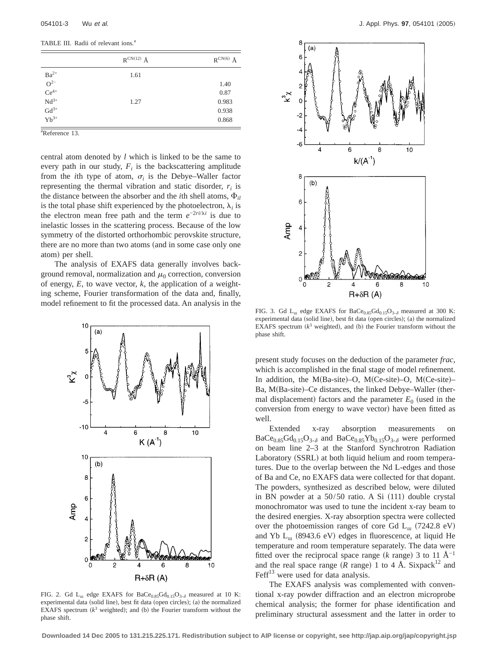TABLE III. Radii of relevant ions.<sup>a</sup>

|                    | $R^{CN(12)}$ Å | $R^{CN(6)}$ Å |
|--------------------|----------------|---------------|
| $Ba^{2+}$          | 1.61           |               |
| $O^{2-}$           |                | 1.40          |
| $Ce^{4+}$          |                | 0.87          |
| $\mathrm{Nd}^{3+}$ | 1.27           | 0.983         |
| $\mathrm{Gd}^{3+}$ |                | 0.938         |
| $Yb^{3+}$          |                | 0.868         |

<sup>a</sup>Reference 13.

central atom denoted by *l* which is linked to be the same to every path in our study,  $F_i$  is the backscattering amplitude from the *i*th type of atom,  $\sigma_i$  is the Debye–Waller factor representing the thermal vibration and static disorder,  $r_i$  is the distance between the absorber and the *i*th shell atoms,  $\Phi_{il}$ is the total phase shift experienced by the photoelectron,  $\lambda_i$  is the electron mean free path and the term  $e^{-2ri/\lambda i}$  is due to inelastic losses in the scattering process. Because of the low symmetry of the distorted orthorhombic perovskite structure, there are no more than two atoms (and in some case only one atom) per shell.

The analysis of EXAFS data generally involves background removal, normalization and  $\mu_0$  correction, conversion of energy, *E*, to wave vector, *k*, the application of a weighting scheme, Fourier transformation of the data and, finally, model refinement to fit the processed data. An analysis in the



FIG. 2. Gd  $L_m$  edge EXAFS for BaCe<sub>0.85</sub>Gd<sub>0.15</sub>O<sub>3- $\delta$ </sub> measured at 10 K: experimental data (solid line), best fit data (open circles); (a) the normalized EXAFS spectrum  $(k^3$  weighted); and (b) the Fourier transform without the phase shift.



FIG. 3. Gd  $L_m$  edge EXAFS for BaCe<sub>0.85</sub>Gd<sub>0.15</sub>O<sub>3- $\delta$ </sub> measured at 300 K: experimental data (solid line), best fit data (open circles); (a) the normalized EXAFS spectrum  $(k^3$  weighted), and (b) the Fourier transform without the phase shift.

present study focuses on the deduction of the parameter *frac*, which is accomplished in the final stage of model refinement. In addition, the M(Ba-site)–O, M(Ce-site)–O, M(Ce-site)– Ba, M(Ba-site)–Ce distances, the linked Debye–Waller (thermal displacement) factors and the parameter  $E_0$  (used in the conversion from energy to wave vector) have been fitted as well.

Extended x-ray absorption measurements on  $BaCe<sub>0.85</sub>Gd<sub>0.15</sub>O<sub>3-δ</sub>$  and  $BaCe<sub>0.85</sub>Yb<sub>0.15</sub>O<sub>3-δ</sub>$  were performed on beam line 2–3 at the Stanford Synchrotron Radiation Laboratory (SSRL) at both liquid helium and room temperatures. Due to the overlap between the Nd L-edges and those of Ba and Ce, no EXAFS data were collected for that dopant. The powders, synthesized as described below, were diluted in BN powder at a  $50/50$  ratio. A Si  $(111)$  double crystal monochromator was used to tune the incident x-ray beam to the desired energies. X-ray absorption spectra were collected over the photoemission ranges of core Gd  $L_{\text{m}}$  (7242.8 eV) and Yb  $L_m$  (8943.6 eV) edges in fluorescence, at liquid He temperature and room temperature separately. The data were fitted over the reciprocal space range  $(k \text{ range})$  3 to 11 Å<sup>-1</sup> and the real space range ( $R$  range) 1 to 4 Å. Sixpack<sup>12</sup> and  $\text{Feff}^{13}$  were used for data analysis.

The EXAFS analysis was complemented with conventional x-ray powder diffraction and an electron microprobe chemical analysis; the former for phase identification and preliminary structural assessment and the latter in order to

**Downloaded 14 Dec 2005 to 131.215.225.171. Redistribution subject to AIP license or copyright, see http://jap.aip.org/jap/copyright.jsp**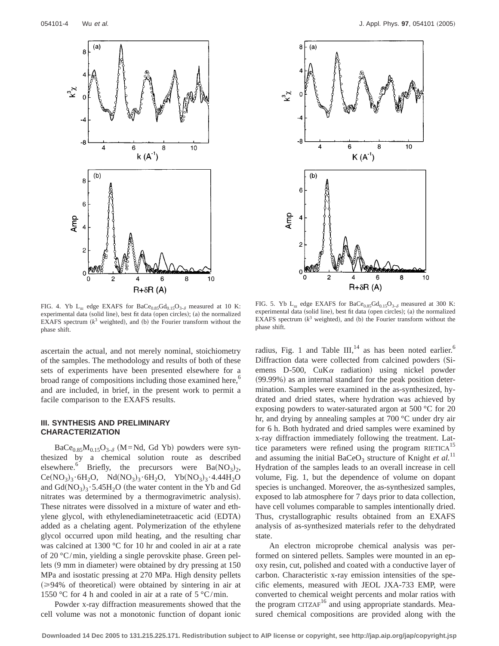



FIG. 4. Yb  $L_m$  edge EXAFS for BaCe<sub>0.85</sub>Gd<sub>0.15</sub>O<sub>3- $\delta$ </sub> measured at 10 K: experimental data (solid line), best fit data (open circles); (a) the normalized EXAFS spectrum  $(k^3$  weighted), and (b) the Fourier transform without the phase shift.

ascertain the actual, and not merely nominal, stoichiometry of the samples. The methodology and results of both of these sets of experiments have been presented elsewhere for a broad range of compositions including those examined here,<sup>6</sup> and are included, in brief, in the present work to permit a facile comparison to the EXAFS results.

# **III. SYNTHESIS AND PRELIMINARY CHARACTERIZATION**

BaCe $_{0.85}M_{0.15}O_{3-\delta}$  (M=Nd, Gd Yb) powders were synthesized by a chemical solution route as described elsewhere.<sup>6</sup> Briefly, the precursors were  $Ba(NO<sub>3</sub>)<sub>2</sub>$ ,  $Ce(NO_3)_3.6H_2O$ ,  $Nd(NO_3)_3.6H_2O$ ,  $Yb(NO_3)_3.4.44H_2O$ and  $Gd(NO_3)_3 \cdot 5.45H_2O$  (the water content in the Yb and Gd nitrates was determined by a thermogravimetric analysis). These nitrates were dissolved in a mixture of water and ethylene glycol, with ethylenediaminetetraacetic acid (EDTA) added as a chelating agent. Polymerization of the ethylene glycol occurred upon mild heating, and the resulting char was calcined at 1300 °C for 10 hr and cooled in air at a rate of 20 °C/min, yielding a single perovskite phase. Green pellets  $(9 \text{ mm in diameter})$  were obtained by dry pressing at 150 MPa and isostatic pressing at 270 MPa. High density pellets  $\approx$ 94% of theoretical) were obtained by sintering in air at 1550 °C for 4 h and cooled in air at a rate of  $5 \text{ °C/min}$ .

Powder x-ray diffraction measurements showed that the cell volume was not a monotonic function of dopant ionic

FIG. 5. Yb  $L_m$  edge EXAFS for BaCe<sub>0.85</sub>Gd<sub>0.15</sub>O<sub>3- $\delta$ </sub> measured at 300 K: experimental data (solid line), best fit data (open circles); (a) the normalized EXAFS spectrum  $(k^3$  weighted), and (b) the Fourier transform without the phase shift.

radius, Fig. 1 and Table  $III$ ,<sup>14</sup> as has been noted earlier.<sup>6</sup> Diffraction data were collected from calcined powders (Siemens D-500,  $CuK\alpha$  radiation) using nickel powder  $(99.99%)$  as an internal standard for the peak position determination. Samples were examined in the as-synthesized, hydrated and dried states, where hydration was achieved by exposing powders to water-saturated argon at 500 °C for 20 hr, and drying by annealing samples at 700 °C under dry air for 6 h. Both hydrated and dried samples were examined by x-ray diffraction immediately following the treatment. Lattice parameters were refined using the program RIETICA<sup>1</sup> and assuming the initial BaCeO<sub>3</sub> structure of Knight  $et$   $al$ .<sup>11</sup> Hydration of the samples leads to an overall increase in cell volume, Fig. 1, but the dependence of volume on dopant species is unchanged. Moreover, the as-synthesized samples, exposed to lab atmosphere for 7 days prior to data collection, have cell volumes comparable to samples intentionally dried. Thus, crystallographic results obtained from an EXAFS analysis of as-synthesized materials refer to the dehydrated state.

An electron microprobe chemical analysis was performed on sintered pellets. Samples were mounted in an epoxy resin, cut, polished and coated with a conductive layer of carbon. Characteristic x-ray emission intensities of the specific elements, measured with JEOL JXA-733 EMP, were converted to chemical weight percents and molar ratios with the program CITZAF<sup>16</sup> and using appropriate standards. Measured chemical compositions are provided along with the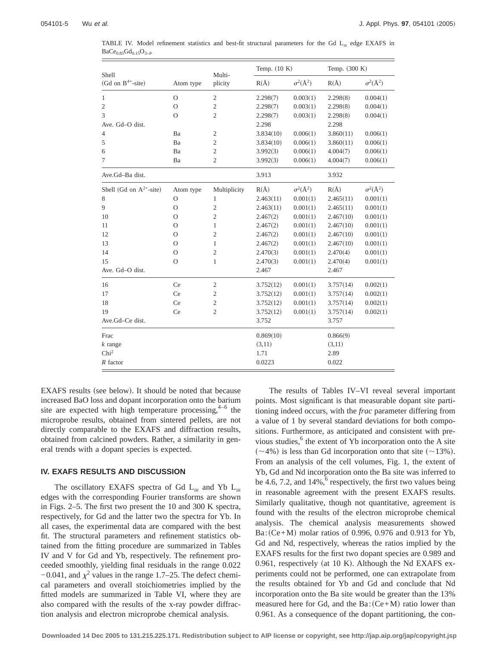| Shell                        |               | Multi-         | Temp. $(10 K)$ |                   | Temp. (300 K) |                   |
|------------------------------|---------------|----------------|----------------|-------------------|---------------|-------------------|
| (Gd on $B^{4+}$ -site)       | Atom type     | plicity        | $R(\AA)$       | $\sigma^2(\AA^2)$ | $R(\AA)$      | $\sigma^2(\AA^2)$ |
| 1                            | $\Omega$      | $\overline{2}$ | 2.298(7)       | 0.003(1)          | 2.298(8)      | 0.004(1)          |
| $\mathbf{2}$                 | $\Omega$      | $\mathbf{2}$   | 2.298(7)       | 0.003(1)          | 2.298(8)      | 0.004(1)          |
| 3                            | $\Omega$      | $\mathfrak{2}$ | 2.298(7)       | 0.003(1)          | 2.298(8)      | 0.004(1)          |
| Ave. Gd-O dist.              |               |                | 2.298          |                   | 2.298         |                   |
| $\overline{4}$               | Ba            | $\mathfrak{2}$ | 3.834(10)      | 0.006(1)          | 3.860(11)     | 0.006(1)          |
| 5                            | Ba            | $\mathfrak{2}$ | 3.834(10)      | 0.006(1)          | 3.860(11)     | 0.006(1)          |
| 6                            | Ba            | $\overline{2}$ | 3.992(3)       | 0.006(1)          | 4.004(7)      | 0.006(1)          |
| 7                            | Ba            | $\overline{2}$ | 3.992(3)       | 0.006(1)          | 4.004(7)      | 0.006(1)          |
| Ave.Gd-Ba dist.              |               |                | 3.913          |                   | 3.932         |                   |
| Shell (Gd on $A^{2+}$ -site) | Atom type     | Multiplicity   | $R(\AA)$       | $\sigma^2(\AA^2)$ | $R(\AA)$      | $\sigma^2(\AA^2)$ |
| 8                            | $\mathcal{O}$ | 1              | 2.463(11)      | 0.001(1)          | 2.465(11)     | 0.001(1)          |
| 9                            | $\mathcal{O}$ | $\mathfrak{2}$ | 2.463(11)      | 0.001(1)          | 2.465(11)     | 0.001(1)          |
| 10                           | O             | $\overline{2}$ | 2.467(2)       | 0.001(1)          | 2.467(10)     | 0.001(1)          |
| 11                           | $\Omega$      | 1              | 2.467(2)       | 0.001(1)          | 2.467(10)     | 0.001(1)          |
| 12                           | $\mathcal{O}$ | 2              | 2.467(2)       | 0.001(1)          | 2.467(10)     | 0.001(1)          |
| 13                           | $\Omega$      | 1              | 2.467(2)       | 0.001(1)          | 2.467(10)     | 0.001(1)          |
| 14                           | $\mathcal{O}$ | $\mathfrak{2}$ | 2.470(3)       | 0.001(1)          | 2.470(4)      | 0.001(1)          |
| 15                           | $\Omega$      | $\mathbf{1}$   | 2.470(3)       | 0.001(1)          | 2.470(4)      | 0.001(1)          |
| Ave. Gd-O dist.              |               |                | 2.467          |                   | 2.467         |                   |
| 16                           | Ce            | $\overline{2}$ | 3.752(12)      | 0.001(1)          | 3.757(14)     | 0.002(1)          |
| 17                           | Ce            | 2              | 3.752(12)      | 0.001(1)          | 3.757(14)     | 0.002(1)          |
| 18                           | Ce            | $\mathfrak{2}$ | 3.752(12)      | 0.001(1)          | 3.757(14)     | 0.002(1)          |
| 19                           | Ce            | $\overline{2}$ | 3.752(12)      | 0.001(1)          | 3.757(14)     | 0.002(1)          |
| Ave.Gd-Ce dist.              |               |                | 3.752          |                   | 3.757         |                   |
| Frac                         |               |                | 0.869(10)      |                   | 0.866(9)      |                   |
| $k$ range                    |               |                | (3,11)         |                   | (3,11)        |                   |
| Chi <sup>2</sup>             |               |                | 1.71           |                   | 2.89          |                   |
| $R$ factor                   |               |                | 0.0223         |                   | 0.022         |                   |

TABLE IV. Model refinement statistics and best-fit structural parameters for the Gd  $L_m$  edge EXAFS in  $BaCe<sub>0.85</sub>Gd<sub>0.15</sub>O<sub>3-*δ*</sub>$ .

EXAFS results (see below). It should be noted that because increased BaO loss and dopant incorporation onto the barium site are expected with high temperature processing,  $4-6$  the microprobe results, obtained from sintered pellets, are not directly comparable to the EXAFS and diffraction results, obtained from calcined powders. Rather, a similarity in general trends with a dopant species is expected.

### **IV. EXAFS RESULTS AND DISCUSSION**

The oscillatory EXAFS spectra of Gd  $L_m$  and Yb  $L_m$ edges with the corresponding Fourier transforms are shown in Figs. 2–5. The first two present the 10 and 300 K spectra, respectively, for Gd and the latter two the spectra for Yb. In all cases, the experimental data are compared with the best fit. The structural parameters and refinement statistics obtained from the fitting procedure are summarized in Tables IV and V for Gd and Yb, respectively. The refinement proceeded smoothly, yielding final residuals in the range 0.022  $-0.041$ , and  $\chi^2$  values in the range 1.7–25. The defect chemical parameters and overall stoichiometries implied by the fitted models are summarized in Table VI, where they are also compared with the results of the x-ray powder diffraction analysis and electron microprobe chemical analysis.

The results of Tables IV–VI reveal several important points. Most significant is that measurable dopant site partitioning indeed occurs, with the *frac* parameter differing from a value of 1 by several standard deviations for both compositions. Furthermore, as anticipated and consistent with previous studies, $6$  the extent of Yb incorporation onto the A site  $(\sim 4\%)$  is less than Gd incorporation onto that site  $(\sim 13\%)$ . From an analysis of the cell volumes, Fig. 1, the extent of Yb, Gd and Nd incorporation onto the Ba site was inferred to be 4.6, 7.2, and  $14\%$ ,  $^{6}$  respectively, the first two values being in reasonable agreement with the present EXAFS results. Similarly qualitative, though not quantitative, agreement is found with the results of the electron microprobe chemical analysis. The chemical analysis measurements showed  $Ba:(Ce+M)$  molar ratios of 0.996, 0.976 and 0.913 for Yb, Gd and Nd, respectively, whereas the ratios implied by the EXAFS results for the first two dopant species are 0.989 and 0.961, respectively (at 10 K). Although the Nd EXAFS experiments could not be performed, one can extrapolate from the results obtained for Yb and Gd and conclude that Nd incorporation onto the Ba site would be greater than the 13% measured here for Gd, and the  $Ba:(Ce+M)$  ratio lower than 0.961. As a consequence of the dopant partitioning, the con-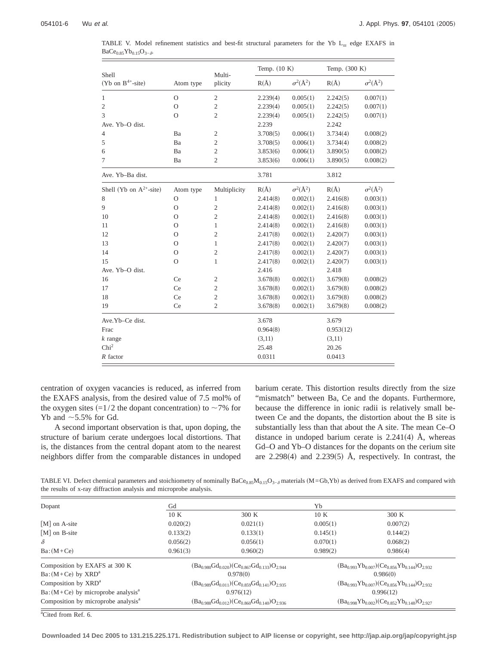| Shell                        |               | Multi-         | Temp. (10 K) |                   | Temp. (300 K) |                   |
|------------------------------|---------------|----------------|--------------|-------------------|---------------|-------------------|
| (Yb on $B^{4+}$ -site)       | Atom type     | plicity        | $R(\AA)$     | $\sigma^2(\AA^2)$ | $R(\AA)$      | $\sigma^2(\AA^2)$ |
| 1                            | $\Omega$      | $\overline{2}$ | 2.239(4)     | 0.005(1)          | 2.242(5)      | 0.007(1)          |
| $\mathfrak{2}$               | $\mathcal{O}$ | $\mathfrak{2}$ | 2.239(4)     | 0.005(1)          | 2.242(5)      | 0.007(1)          |
| 3                            | $\Omega$      | $\overline{2}$ | 2.239(4)     | 0.005(1)          | 2.242(5)      | 0.007(1)          |
| Ave. Yb-O dist.              |               |                | 2.239        |                   | 2.242         |                   |
| $\overline{4}$               | Ba            | $\mathfrak{2}$ | 3.708(5)     | 0.006(1)          | 3.734(4)      | 0.008(2)          |
| 5                            | Ba            | 2              | 3.708(5)     | 0.006(1)          | 3.734(4)      | 0.008(2)          |
| 6                            | Ba            | $\overline{c}$ | 3.853(6)     | 0.006(1)          | 3.890(5)      | 0.008(2)          |
| 7                            | Ba            | $\overline{2}$ | 3.853(6)     | 0.006(1)          | 3.890(5)      | 0.008(2)          |
| Ave. Yb-Ba dist.             |               |                | 3.781        |                   | 3.812         |                   |
| Shell (Yb on $A^{2+}$ -site) | Atom type     | Multiplicity   | $R(\AA)$     | $\sigma^2(\AA^2)$ | $R(\AA)$      | $\sigma^2(\AA^2)$ |
| 8                            | $\Omega$      | 1              | 2.414(8)     | 0.002(1)          | 2.416(8)      | 0.003(1)          |
| 9                            | $\mathcal{O}$ | $\overline{c}$ | 2.414(8)     | 0.002(1)          | 2.416(8)      | 0.003(1)          |
| 10                           | $\Omega$      | $\overline{c}$ | 2.414(8)     | 0.002(1)          | 2.416(8)      | 0.003(1)          |
| 11                           | $\Omega$      | $\mathbf{1}$   | 2.414(8)     | 0.002(1)          | 2.416(8)      | 0.003(1)          |
| 12                           | $\Omega$      | $\overline{c}$ | 2.417(8)     | 0.002(1)          | 2.420(7)      | 0.003(1)          |
| 13                           | $\Omega$      | 1              | 2.417(8)     | 0.002(1)          | 2.420(7)      | 0.003(1)          |
| 14                           | $\Omega$      | $\overline{2}$ | 2.417(8)     | 0.002(1)          | 2.420(7)      | 0.003(1)          |
| 15                           | $\Omega$      | 1              | 2.417(8)     | 0.002(1)          | 2.420(7)      | 0.003(1)          |
| Ave. Yb-O dist.              |               |                | 2.416        |                   | 2.418         |                   |
| 16                           | Ce            | $\mathfrak{2}$ | 3.678(8)     | 0.002(1)          | 3.679(8)      | 0.008(2)          |
| 17                           | Ce            | $\overline{c}$ | 3.678(8)     | 0.002(1)          | 3.679(8)      | 0.008(2)          |
| 18                           | Ce            | $\overline{c}$ | 3.678(8)     | 0.002(1)          | 3.679(8)      | 0.008(2)          |
| 19                           | Ce            | $\overline{2}$ | 3.678(8)     | 0.002(1)          | 3.679(8)      | 0.008(2)          |
| Ave.Yb-Ce dist.              |               |                | 3.678        |                   | 3.679         |                   |
| Frac                         |               |                | 0.964(8)     |                   | 0.953(12)     |                   |
| $k$ range                    |               |                | (3,11)       |                   | (3,11)        |                   |
| Chi <sup>2</sup>             |               |                | 25.48        |                   | 20.26         |                   |
| $R$ factor                   |               |                | 0.0311       |                   | 0.0413        |                   |

TABLE V. Model refinement statistics and best-fit structural parameters for the Yb  $L_m$  edge EXAFS in BaCe $_{0.85}Yb_{0.15}O_{3-\delta}$ .

centration of oxygen vacancies is reduced, as inferred from the EXAFS analysis, from the desired value of 7.5 mol% of the oxygen sites  $(=1/2$  the dopant concentration) to  $\sim$ 7% for Yb and  $\sim$  5.5% for Gd.

A second important observation is that, upon doping, the structure of barium cerate undergoes local distortions. That is, the distances from the central dopant atom to the nearest neighbors differ from the comparable distances in undoped barium cerate. This distortion results directly from the size "mismatch" between Ba, Ce and the dopants. Furthermore, because the difference in ionic radii is relatively small between Ce and the dopants, the distortion about the B site is substantially less than that about the A site. The mean Ce–O distance in undoped barium cerate is  $2.241(4)$  Å, whereas Gd–O and Yb–O distances for the dopants on the cerium site are 2.298(4) and 2.239(5) Å, respectively. In contrast, the

TABLE VI. Defect chemical parameters and stoichiometry of nominally BaCe<sub>0.85</sub>M<sub>0.15</sub>O<sub>3−6</sub> materials (M=Gb,Yb) as derived from EXAFS and compared with the results of x-ray diffraction analysis and microprobe analysis.

| Dopant                                          | Gd                                                      |                                                         | Yb                                                         |           |  |
|-------------------------------------------------|---------------------------------------------------------|---------------------------------------------------------|------------------------------------------------------------|-----------|--|
|                                                 | 10K                                                     | 300 K                                                   | 10K                                                        | 300 K     |  |
| [M] on A-site                                   | 0.020(2)                                                | 0.021(1)                                                | 0.005(1)                                                   | 0.007(2)  |  |
| $[M]$ on B-site                                 | 0.133(2)                                                | 0.133(1)                                                | 0.145(1)                                                   | 0.144(2)  |  |
| $\delta$                                        | 0.056(2)                                                | 0.056(1)                                                | 0.070(1)                                                   | 0.068(2)  |  |
| $Ba:(M+Ce)$                                     | 0.961(3)                                                | 0.960(2)                                                | 0.989(2)                                                   | 0.986(4)  |  |
| Composition by EXAFS at 300 K                   | $(Ba_{0.980}Gd_{0.020})(Ce_{0.867}Gd_{0.133})O_{2.944}$ |                                                         | $(Ba_{0.993}Yb_{0.007})$ $(Ce_{0.856}Yb_{0.144})O_{2.932}$ |           |  |
| $Ba:(M+Ce)$ by $XRDa$                           |                                                         | 0.978(0)                                                |                                                            | 0.986(0)  |  |
| Composition by XRD <sup>a</sup>                 |                                                         | $(Ba_{0.989}Gd_{0.011})(Ce_{0.859}Gd_{0.141})O_{2.935}$ | $(Ba_{0.993}Yb_{0.007})$ $(Ce_{0.856}Yb_{0.144})O_{2.932}$ |           |  |
| $Ba:(M+Ce)$ by microprobe analysis <sup>a</sup> |                                                         | 0.976(12)                                               |                                                            | 0.996(12) |  |
| Composition by microprobe analysis <sup>a</sup> | $(Ba_{0.988}Gd_{0.012})(Ce_{0.860}Gd_{0.140})O_{2.936}$ |                                                         | $(Ba_{0.998}Yb_{0.002})(Ce_{0.852}Yb_{0.148})O_{2.927}$    |           |  |

<sup>a</sup>Cited from Ref. 6.

**Downloaded 14 Dec 2005 to 131.215.225.171. Redistribution subject to AIP license or copyright, see http://jap.aip.org/jap/copyright.jsp**